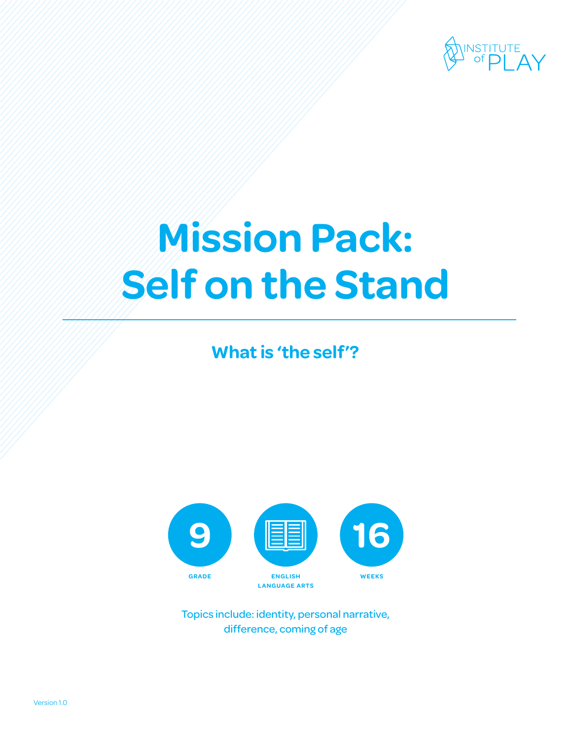

# **Mission Pack: Self on the Stand**

**What is 'the self'?**



Topics include: identity, personal narrative, difference, coming of age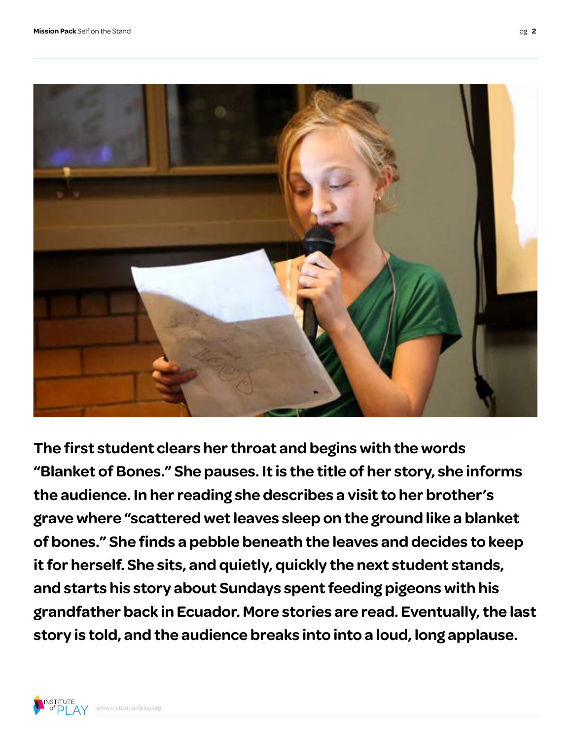

**The first student clears her throat and begins with the words "Blanket of Bones." She pauses. It is the title of her story, she informs the audience. In her reading she describes a visit to her brother's grave where "scattered wet leaves sleep on the ground like a blanket of bones." She finds a pebble beneath the leaves and decides to keep it for herself. She sits, and quietly, quickly the next student stands, and starts his story about Sundays spent feeding pigeons with his grandfather back in Ecuador. More stories are read. Eventually, the last story is told, and the audience breaks into into a loud, long applause.**

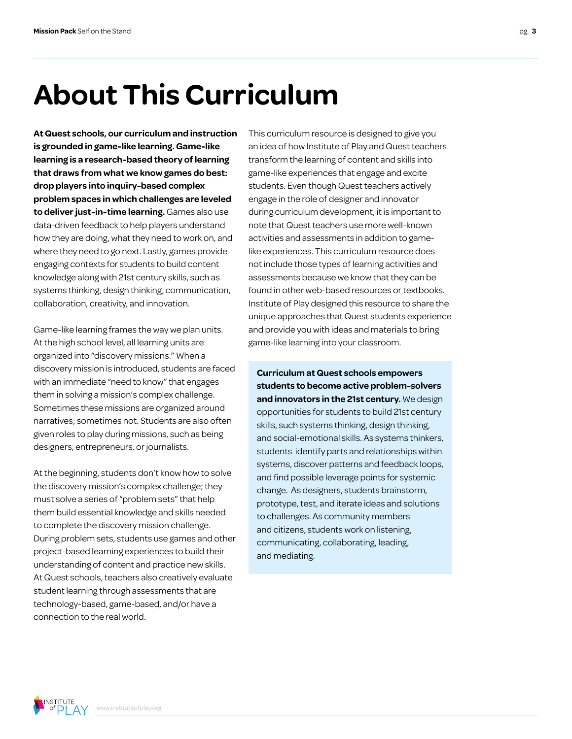# **About This Curriculum**

**At Quest schools, our curriculum and instruction is grounded in game-like learning. Game-like learning is a research-based theory of learning that draws from what we know games do best: drop players into inquiry-based complex problem spaces in which challenges are leveled to deliver just-in-time learning.** Games also use data-driven feedback to help players understand how they are doing, what they need to work on, and where they need to go next. Lastly, games provide engaging contexts for students to build content knowledge along with 21st century skills, such as systems thinking, design thinking, communication, collaboration, creativity, and innovation.

Game-like learning frames the way we plan units. At the high school level, all learning units are organized into "discovery missions." When a discovery mission is introduced, students are faced with an immediate "need to know" that engages them in solving a mission's complex challenge. Sometimes these missions are organized around narratives; sometimes not. Students are also often given roles to play during missions, such as being designers, entrepreneurs, or journalists.

At the beginning, students don't know how to solve the discovery mission's complex challenge; they must solve a series of "problem sets" that help them build essential knowledge and skills needed to complete the discovery mission challenge. During problem sets, students use games and other project-based learning experiences to build their understanding of content and practice new skills. At Quest schools, teachers also creatively evaluate student learning through assessments that are technology-based, game-based, and/or have a connection to the real world.

This curriculum resource is designed to give you an idea of how Institute of Play and Quest teachers transform the learning of content and skills into game-like experiences that engage and excite students. Even though Quest teachers actively engage in the role of designer and innovator during curriculum development, it is important to note that Quest teachers use more well-known activities and assessments in addition to gamelike experiences. This curriculum resource does not include those types of learning activities and assessments because we know that they can be found in other web-based resources or textbooks. Institute of Play designed this resource to share the unique approaches that Quest students experience and provide you with ideas and materials to bring game-like learning into your classroom.

**Curriculum at Quest schools empowers students to become active problem-solvers and innovators in the 21st century.** We design opportunities for students to build 21st century skills, such systems thinking, design thinking, and social-emotional skills. As systems thinkers, students identify parts and relationships within systems, discover patterns and feedback loops, and find possible leverage points for systemic change. As designers, students brainstorm, prototype, test, and iterate ideas and solutions to challenges. As community members and citizens, students work on listening, communicating, collaborating, leading, and mediating.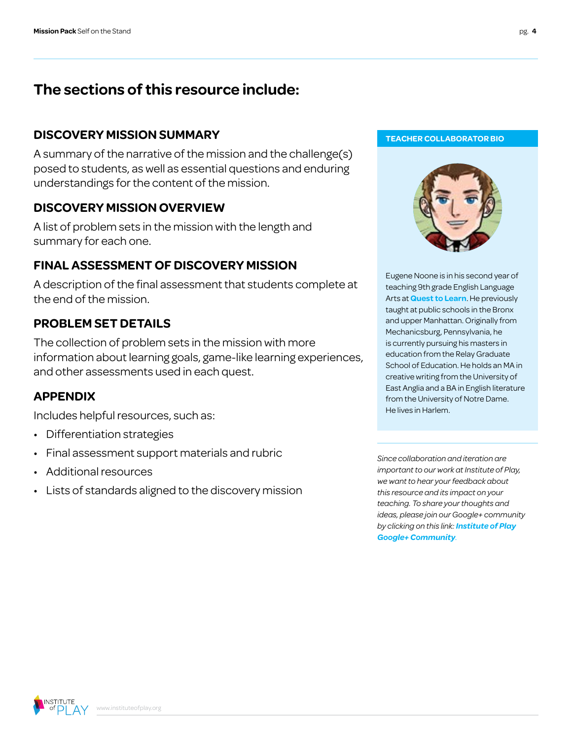### **The sections of this resource include:**

#### **DISCOVERY MISSION SUMMARY**

A summary of the narrative of the mission and the challenge(s) posed to students, as well as essential questions and enduring understandings for the content of the mission.

#### **DISCOVERY MISSION OVERVIEW**

A list of problem sets in the mission with the length and summary for each one.

#### **FINAL ASSESSMENT OF DISCOVERY MISSION**

A description of the final assessment that students complete at the end of the mission.

#### **PROBLEM SET DETAILS**

The collection of problem sets in the mission with more information about learning goals, game-like learning experiences, and other assessments used in each quest.

#### **APPENDIX**

Includes helpful resources, such as:

- Differentiation strategies
- Final assessment support materials and rubric
- Additional resources
- Lists of standards aligned to the discovery mission

#### **TEACHER COLLABORATOR BIO**



Eugene Noone is in his second year of teaching 9th grade English Language Arts at **[Quest to Learn](http://www.q2l.org/)**. He previously taught at public schools in the Bronx and upper Manhattan. Originally from Mechanicsburg, Pennsylvania, he is currently pursuing his masters in education from the Relay Graduate School of Education. He holds an MA in creative writing from the University of East Anglia and a BA in English literature from the University of Notre Dame. He lives in Harlem.

*Since collaboration and iteration are important to our work at Institute of Play, we want to hear your feedback about this resource and its impact on your teaching. To share your thoughts and ideas, please join our Google+ community by clicking on this link: [Institute of Play](https://plus.google.com/109931113406134913780/videos)  [Google+ Community](https://plus.google.com/109931113406134913780/videos).*

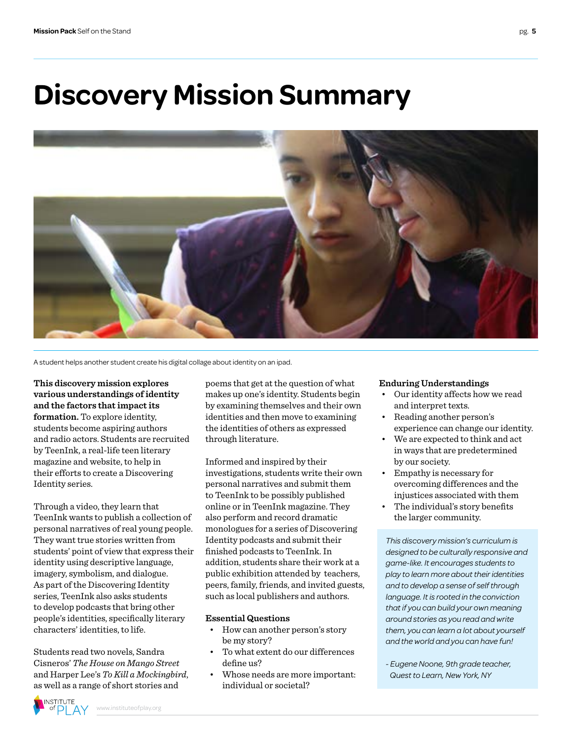### **Discovery Mission Summary**



A student helps another student create his digital collage about identity on an ipad.

**This discovery mission explores various understandings of identity and the factors that impact its formation.** To explore identity, students become aspiring authors and radio actors. Students are recruited by TeenInk, a real-life teen literary magazine and website, to help in their efforts to create a Discovering Identity series.

Through a video, they learn that TeenInk wants to publish a collection of personal narratives of real young people. They want true stories written from students' point of view that express their identity using descriptive language, imagery, symbolism, and dialogue. As part of the Discovering Identity series, TeenInk also asks students to develop podcasts that bring other people's identities, specifically literary characters' identities, to life.

Students read two novels, Sandra Cisneros' *The House on Mango Street* and Harper Lee's *To Kill a Mockingbird*, as well as a range of short stories and

poems that get at the question of what makes up one's identity. Students begin by examining themselves and their own identities and then move to examining the identities of others as expressed through literature.

Informed and inspired by their investigations, students write their own personal narratives and submit them to TeenInk to be possibly published online or in TeenInk magazine. They also perform and record dramatic monologues for a series of Discovering Identity podcasts and submit their finished podcasts to TeenInk. In addition, students share their work at a public exhibition attended by teachers, peers, family, friends, and invited guests, such as local publishers and authors.

#### **Essential Questions**

- How can another person's story be my story?
- To what extent do our differences define us?
- Whose needs are more important: individual or societal?

#### **Enduring Understandings**

- Our identity affects how we read and interpret texts.
- Reading another person's experience can change our identity.
- We are expected to think and act in ways that are predetermined by our society.
- Empathy is necessary for overcoming differences and the injustices associated with them
- The individual's story benefits the larger community.

*This discovery mission's curriculum is designed to be culturally responsive and game-like. It encourages students to play to learn more about their identities and to develop a sense of self through language. It is rooted in the conviction that if you can build your own meaning around stories as you read and write them, you can learn a lot about yourself and the world and you can have fun!*

*- Eugene Noone, 9th grade teacher, Quest to Learn, New York, NY*

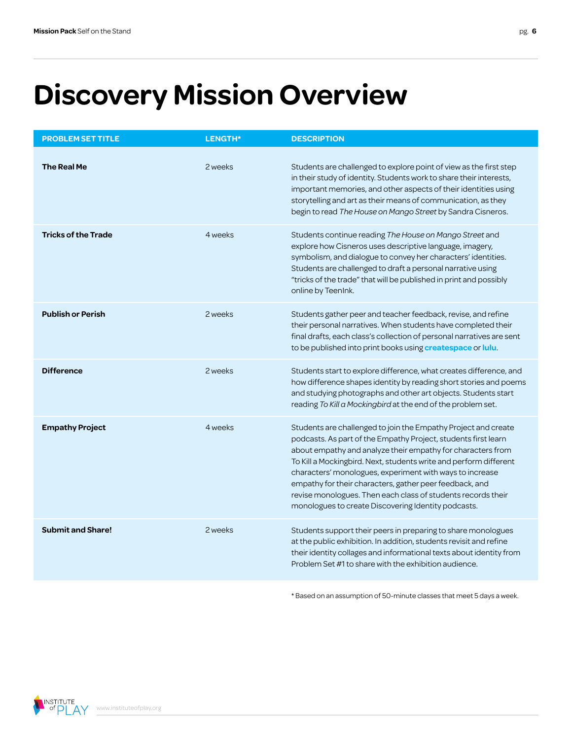# **Discovery Mission Overview**

| <b>PROBLEM SET TITLE</b>   | LENGTH* | <b>DESCRIPTION</b>                                                                                                                                                                                                                                                                                                                                                                                                                                                                                                 |
|----------------------------|---------|--------------------------------------------------------------------------------------------------------------------------------------------------------------------------------------------------------------------------------------------------------------------------------------------------------------------------------------------------------------------------------------------------------------------------------------------------------------------------------------------------------------------|
| <b>The Real Me</b>         | 2 weeks | Students are challenged to explore point of view as the first step<br>in their study of identity. Students work to share their interests,<br>important memories, and other aspects of their identities using<br>storytelling and art as their means of communication, as they<br>begin to read The House on Mango Street by Sandra Cisneros.                                                                                                                                                                       |
| <b>Tricks of the Trade</b> | 4 weeks | Students continue reading The House on Mango Street and<br>explore how Cisneros uses descriptive language, imagery,<br>symbolism, and dialogue to convey her characters' identities.<br>Students are challenged to draft a personal narrative using<br>"tricks of the trade" that will be published in print and possibly<br>online by TeenInk.                                                                                                                                                                    |
| <b>Publish or Perish</b>   | 2 weeks | Students gather peer and teacher feedback, revise, and refine<br>their personal narratives. When students have completed their<br>final drafts, each class's collection of personal narratives are sent<br>to be published into print books using createspace or lulu.                                                                                                                                                                                                                                             |
| <b>Difference</b>          | 2 weeks | Students start to explore difference, what creates difference, and<br>how difference shapes identity by reading short stories and poems<br>and studying photographs and other art objects. Students start<br>reading To Kill a Mockingbird at the end of the problem set.                                                                                                                                                                                                                                          |
| <b>Empathy Project</b>     | 4 weeks | Students are challenged to join the Empathy Project and create<br>podcasts. As part of the Empathy Project, students first learn<br>about empathy and analyze their empathy for characters from<br>To Kill a Mockingbird. Next, students write and perform different<br>characters' monologues, experiment with ways to increase<br>empathy for their characters, gather peer feedback, and<br>revise monologues. Then each class of students records their<br>monologues to create Discovering Identity podcasts. |
| <b>Submit and Share!</b>   | 2 weeks | Students support their peers in preparing to share monologues<br>at the public exhibition. In addition, students revisit and refine<br>their identity collages and informational texts about identity from<br>Problem Set #1 to share with the exhibition audience.                                                                                                                                                                                                                                                |

\* Based on an assumption of 50-minute classes that meet 5 days a week.

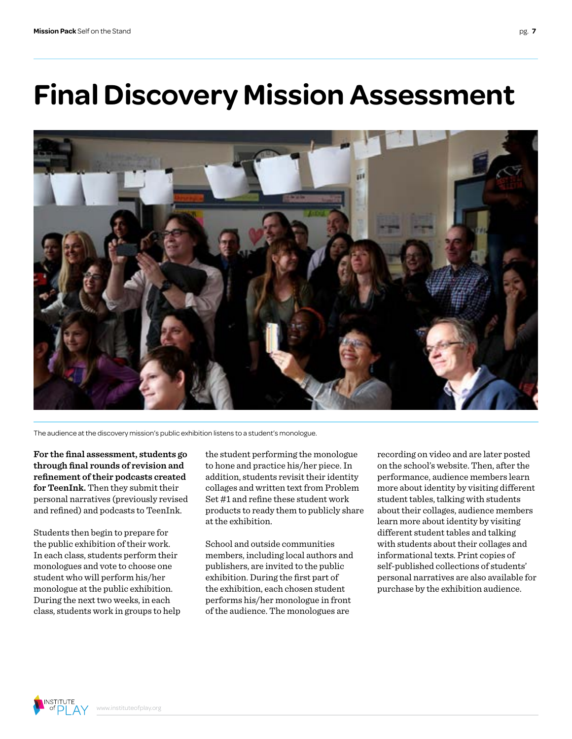# **Final Discovery Mission Assessment**



The audience at the discovery mission's public exhibition listens to a student's monologue.

**For the final assessment, students go through final rounds of revision and refinement of their podcasts created for TeenInk.** Then they submit their personal narratives (previously revised and refined) and podcasts to TeenInk.

Students then begin to prepare for the public exhibition of their work. In each class, students perform their monologues and vote to choose one student who will perform his/her monologue at the public exhibition. During the next two weeks, in each class, students work in groups to help the student performing the monologue to hone and practice his/her piece. In addition, students revisit their identity collages and written text from Problem Set #1 and refine these student work products to ready them to publicly share at the exhibition.

School and outside communities members, including local authors and publishers, are invited to the public exhibition. During the first part of the exhibition, each chosen student performs his/her monologue in front of the audience. The monologues are

recording on video and are later posted on the school's website. Then, after the performance, audience members learn more about identity by visiting different student tables, talking with students about their collages, audience members learn more about identity by visiting different student tables and talking with students about their collages and informational texts. Print copies of self-published collections of students' personal narratives are also available for purchase by the exhibition audience.

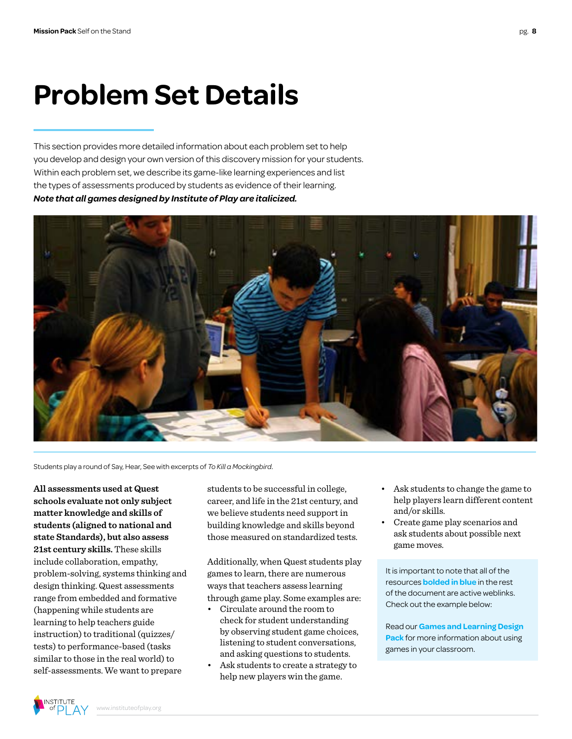### **Problem Set Details**

This section provides more detailed information about each problem set to help you develop and design your own version of this discovery mission for your students. Within each problem set, we describe its game-like learning experiences and list the types of assessments produced by students as evidence of their learning. *Note that all games designed by Institute of Play are italicized.*



Students play a round of Say, Hear, See with excerpts of *To Kill a Mockingbird*.

**All assessments used at Quest schools evaluate not only subject matter knowledge and skills of students (aligned to national and state Standards), but also assess 21st century skills.** These skills include collaboration, empathy, problem-solving, systems thinking and design thinking. Quest assessments range from embedded and formative (happening while students are learning to help teachers guide instruction) to traditional (quizzes/ tests) to performance-based (tasks similar to those in the real world) to self-assessments. We want to prepare

students to be successful in college, career, and life in the 21st century, and we believe students need support in building knowledge and skills beyond those measured on standardized tests.

Additionally, when Quest students play games to learn, there are numerous ways that teachers assess learning through game play. Some examples are:

- Circulate around the room to check for student understanding by observing student game choices, listening to student conversations, and asking questions to students.
- Ask students to create a strategy to help new players win the game.
- Ask students to change the game to help players learn different content and/or skills.
- Create game play scenarios and ask students about possible next game moves.

It is important to note that all of the resources **bolded in blue** in the rest of the document are active weblinks. Check out the example below:

Read our **[Games and Learning Design](http://www.instituteofplay.org/work/projects/q-design-packs/q-games-and-learning-design-pack/)  Pack** [for more information about using](http://www.instituteofplay.org/work/projects/q-design-packs/q-games-and-learning-design-pack/)  [games in your classroom.](http://www.instituteofplay.org/work/projects/q-design-packs/q-games-and-learning-design-pack/)

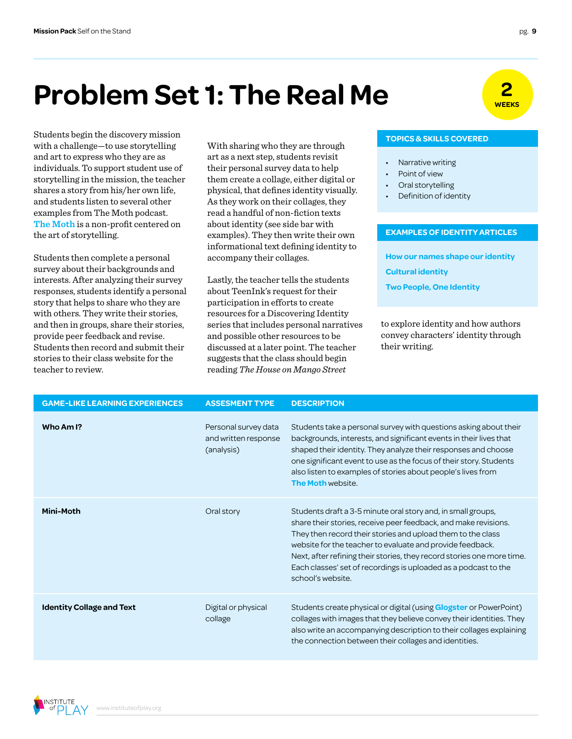### **2 Problem Set 1: The Real Me EXERGY**

Students begin the discovery mission with a challenge—to use storytelling and art to express who they are as individuals. To support student use of storytelling in the mission, the teacher shares a story from his/her own life, and students listen to several other examples from The Moth podcast. **[The Moth](http://themoth.org/)** is a non-profit centered on the art of storytelling.

Students then complete a personal survey about their backgrounds and interests. After analyzing their survey responses, students identify a personal story that helps to share who they are with others. They write their stories, and then in groups, share their stories, provide peer feedback and revise. Students then record and submit their stories to their class website for the teacher to review.

With sharing who they are through art as a next step, students revisit their personal survey data to help them create a collage, either digital or physical, that defines identity visually. As they work on their collages, they read a handful of non-fiction texts about identity (see side bar with examples). They then write their own informational text defining identity to accompany their collages.

Lastly, the teacher tells the students about TeenInk's request for their participation in efforts to create resources for a Discovering Identity series that includes personal narratives and possible other resources to be discussed at a later point. The teacher suggests that the class should begin reading *The House on Mango Street* 



#### **TOPICS & SKILLS COVERED**

- Narrative writing
- Point of view
- Oral storytelling
- Definition of identity

#### **EXAMPLES OF IDENTITY ARTICLES**

**[How our names shape our identity](http://theweek.com/article/index/249589/how-our-names-shape-our-identity) [Cultural identity](http://www.teenink.com/opinion/all/article/10613/Cultural-Identity/) [Two People, One Identity](http://www.nytimes.com/2012/01/15/fashion/kirk-and-nate-mueller-capitalize-on-being-twins.html?action=click&module=Search®ion=searchResults%238&version=&url=http%3A%2F%2Fquery.nytimes.com%2Fsearch%2Fsitesearch%2F%3Faction%3Dclick%26region%3DMasthead%26pgtype%3DHomepage%26module%3DSearchSubmit%26contentCollection%3DHomepage%26t%3Dqry558%23%2Fidentity%2Fsince1851%2Fallresults%2F9%2F&_r=0)**

to explore identity and how authors convey characters' identity through their writing.

| <b>GAME-LIKE LEARNING EXPERIENCES</b> | <b>ASSESMENT TYPE</b>                                      | <b>DESCRIPTION</b>                                                                                                                                                                                                                                                                                                                                                                                                            |
|---------------------------------------|------------------------------------------------------------|-------------------------------------------------------------------------------------------------------------------------------------------------------------------------------------------------------------------------------------------------------------------------------------------------------------------------------------------------------------------------------------------------------------------------------|
| Who Am I?                             | Personal survey data<br>and written response<br>(analysis) | Students take a personal survey with questions asking about their<br>backgrounds, interests, and significant events in their lives that<br>shaped their identity. They analyze their responses and choose<br>one significant event to use as the focus of their story. Students<br>also listen to examples of stories about people's lives from<br><b>The Moth website.</b>                                                   |
| <b>Mini-Moth</b>                      | Oral story                                                 | Students draft a 3-5 minute oral story and, in small groups,<br>share their stories, receive peer feedback, and make revisions.<br>They then record their stories and upload them to the class<br>website for the teacher to evaluate and provide feedback.<br>Next, after refining their stories, they record stories one more time.<br>Each classes' set of recordings is uploaded as a podcast to the<br>school's website. |
| <b>Identity Collage and Text</b>      | Digital or physical<br>collage                             | Students create physical or digital (using <b>Glogster</b> or PowerPoint)<br>collages with images that they believe convey their identities. They<br>also write an accompanying description to their collages explaining<br>the connection between their collages and identities.                                                                                                                                             |

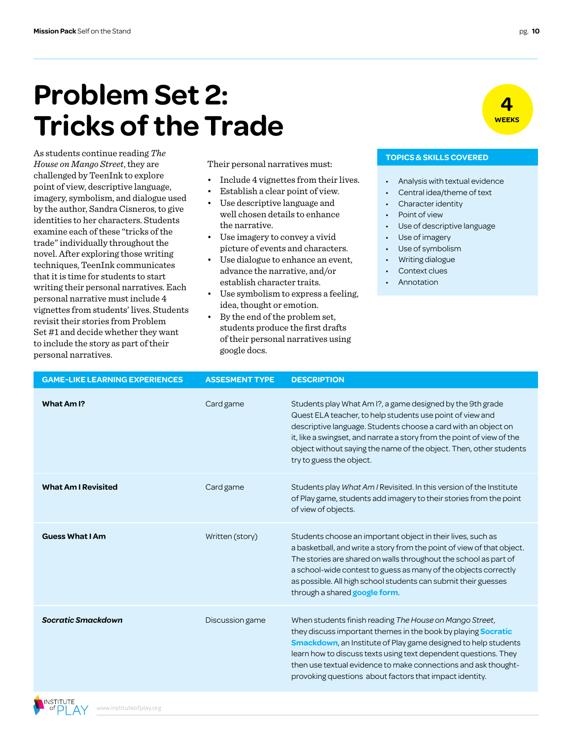### **Problem Set 2: Tricks of the Trade**

As students continue reading *The House on Mango Street*, they are challenged by TeenInk to explore point of view, descriptive language, imagery, symbolism, and dialogue used by the author, Sandra Cisneros, to give identities to her characters. Students examine each of these "tricks of the trade" individually throughout the novel. After exploring those writing techniques, TeenInk communicates that it is time for students to start writing their personal narratives. Each personal narrative must include 4 vignettes from students' lives. Students revisit their stories from Problem Set #1 and decide whether they want to include the story as part of their personal narratives.

Their personal narratives must:

- Include 4 vignettes from their lives.
- Establish a clear point of view.
- Use descriptive language and well chosen details to enhance the narrative.
- Use imagery to convey a vivid picture of events and characters.
- Use dialogue to enhance an event, advance the narrative, and/or establish character traits.
- Use symbolism to express a feeling, idea, thought or emotion.
- By the end of the problem set, students produce the first drafts of their personal narratives using google docs.

#### **TOPICS & SKILLS COVERED**

- Analysis with textual evidence
- Central idea/theme of text
- Character identity
- Point of view
- Use of descriptive language
- Use of imagery
- Use of symbolism
- Writing dialogue
- Context clues
- **Annotation**

| <b>GAME-LIKE LEARNING EXPERIENCES</b> | <b>ASSESMENT TYPE</b> | <b>DESCRIPTION</b>                                                                                                                                                                                                                                                                                                                                                                                        |
|---------------------------------------|-----------------------|-----------------------------------------------------------------------------------------------------------------------------------------------------------------------------------------------------------------------------------------------------------------------------------------------------------------------------------------------------------------------------------------------------------|
| What Am I?                            | Card game             | Students play What Am I?, a game designed by the 9th grade<br>Quest ELA teacher, to help students use point of view and<br>descriptive language. Students choose a card with an object on<br>it, like a swingset, and narrate a story from the point of view of the<br>object without saying the name of the object. Then, other students<br>try to guess the object.                                     |
| <b>What Am I Revisited</b>            | Card game             | Students play What Am / Revisited. In this version of the Institute<br>of Play game, students add imagery to their stories from the point<br>of view of objects.                                                                                                                                                                                                                                          |
| <b>Guess What I Am</b>                | Written (story)       | Students choose an important object in their lives, such as<br>a basketball, and write a story from the point of view of that object.<br>The stories are shared on walls throughout the school as part of<br>a school-wide contest to guess as many of the objects correctly<br>as possible. All high school students can submit their guesses<br>through a shared google form.                           |
| <b>Socratic Smackdown</b>             | Discussion game       | When students finish reading The House on Mango Street,<br>they discuss important themes in the book by playing <b>Socratic</b><br><b>Smackdown</b> , an Institute of Play game designed to help students<br>learn how to discuss texts using text dependent questions. They<br>then use textual evidence to make connections and ask thought-<br>provoking questions about factors that impact identity. |



**4 WEEKS**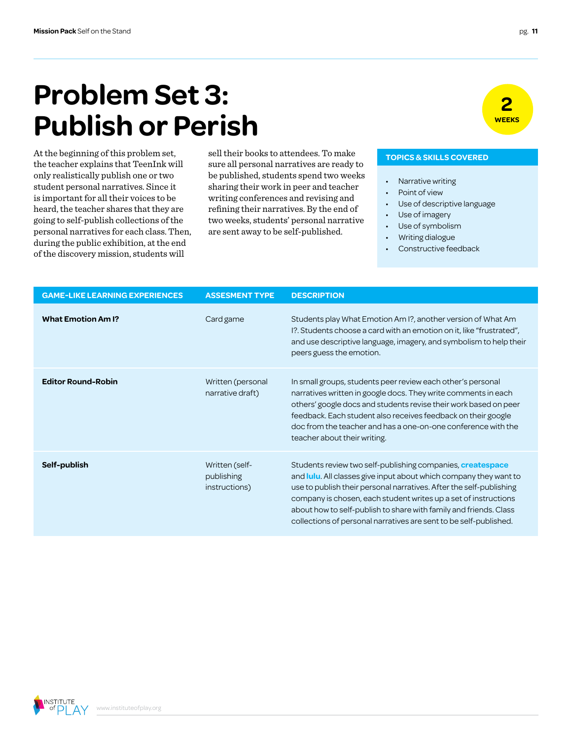### **Problem Set 3: Publish or Perish**

At the beginning of this problem set, the teacher explains that TeenInk will only realistically publish one or two student personal narratives. Since it is important for all their voices to be heard, the teacher shares that they are going to self-publish collections of the personal narratives for each class. Then, during the public exhibition, at the end of the discovery mission, students will

sell their books to attendees. To make sure all personal narratives are ready to be published, students spend two weeks sharing their work in peer and teacher writing conferences and revising and refining their narratives. By the end of two weeks, students' personal narrative are sent away to be self-published.

#### **TOPICS & SKILLS COVERED**

- Narrative writing
- Point of view
- Use of descriptive language
- Use of imagery
- Use of symbolism
- Writing dialogue
- Constructive feedback

| <b>GAME-LIKE LEARNING EXPERIENCES</b> | <b>ASSESMENT TYPE</b>                         | <b>DESCRIPTION</b>                                                                                                                                                                                                                                                                                                                                                                                                                 |
|---------------------------------------|-----------------------------------------------|------------------------------------------------------------------------------------------------------------------------------------------------------------------------------------------------------------------------------------------------------------------------------------------------------------------------------------------------------------------------------------------------------------------------------------|
| <b>What Emotion Am I?</b>             | Card game                                     | Students play What Emotion Am I?, another version of What Am<br>I?. Students choose a card with an emotion on it, like "frustrated",<br>and use descriptive language, imagery, and symbolism to help their<br>peers guess the emotion.                                                                                                                                                                                             |
| <b>Editor Round-Robin</b>             | Written (personal<br>narrative draft)         | In small groups, students peer review each other's personal<br>narratives written in google docs. They write comments in each<br>others' google docs and students revise their work based on peer<br>feedback. Each student also receives feedback on their google<br>doc from the teacher and has a one-on-one conference with the<br>teacher about their writing.                                                                |
| Self-publish                          | Written (self-<br>publishing<br>instructions) | Students review two self-publishing companies, <b>createspace</b><br>and <b>lulu</b> . All classes give input about which company they want to<br>use to publish their personal narratives. After the self-publishing<br>company is chosen, each student writes up a set of instructions<br>about how to self-publish to share with family and friends. Class<br>collections of personal narratives are sent to be self-published. |



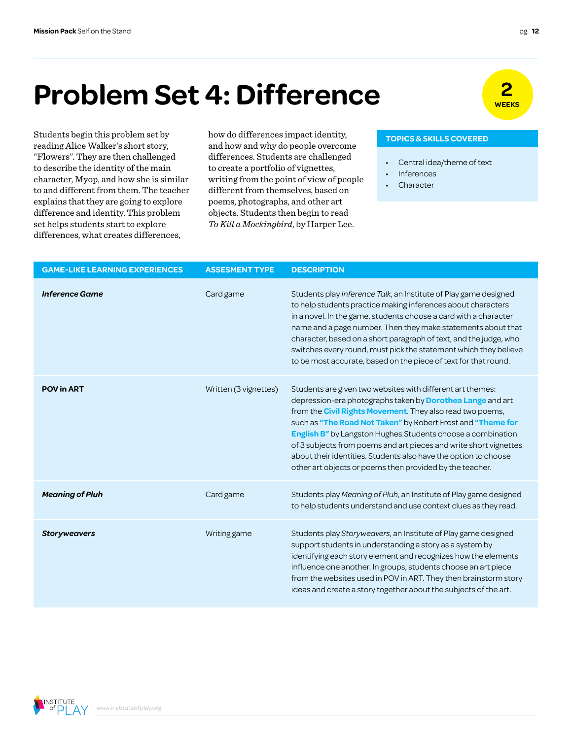### **2 Problem Set 4: Difference**

Students begin this problem set by reading Alice Walker's short story, "Flowers". They are then challenged to describe the identity of the main character, Myop, and how she is similar to and different from them. The teacher explains that they are going to explore difference and identity. This problem set helps students start to explore differences, what creates differences,

how do differences impact identity, and how and why do people overcome differences. Students are challenged to create a portfolio of vignettes, writing from the point of view of people different from themselves, based on poems, photographs, and other art objects. Students then begin to read *To Kill a Mockingbird*, by Harper Lee.

#### **TOPICS & SKILLS COVERED**

- Central idea/theme of text
- Inferences
- **Character**

| <b>GAME-LIKE LEARNING EXPERIENCES</b> | <b>ASSESMENT TYPE</b> | <b>DESCRIPTION</b>                                                                                                                                                                                                                                                                                                                                                                                                                                                                                                               |
|---------------------------------------|-----------------------|----------------------------------------------------------------------------------------------------------------------------------------------------------------------------------------------------------------------------------------------------------------------------------------------------------------------------------------------------------------------------------------------------------------------------------------------------------------------------------------------------------------------------------|
| <b>Inference Game</b>                 | Card game             | Students play Inference Talk, an Institute of Play game designed<br>to help students practice making inferences about characters<br>in a novel. In the game, students choose a card with a character<br>name and a page number. Then they make statements about that<br>character, based on a short paragraph of text, and the judge, who<br>switches every round, must pick the statement which they believe<br>to be most accurate, based on the piece of text for that round.                                                 |
| <b>POV in ART</b>                     | Written (3 vignettes) | Students are given two websites with different art themes:<br>depression-era photographs taken by Dorothea Lange and art<br>from the <b>Civil Rights Movement</b> . They also read two poems,<br>such as "The Road Not Taken" by Robert Frost and "Theme for<br>English B" by Langston Hughes. Students choose a combination<br>of 3 subjects from poems and art pieces and write short vignettes<br>about their identities. Students also have the option to choose<br>other art objects or poems then provided by the teacher. |
| <b>Meaning of Pluh</b>                | Card game             | Students play Meaning of Pluh, an Institute of Play game designed<br>to help students understand and use context clues as they read.                                                                                                                                                                                                                                                                                                                                                                                             |
| <b>Storyweavers</b>                   | Writing game          | Students play Storyweavers, an Institute of Play game designed<br>support students in understanding a story as a system by<br>identifying each story element and recognizes how the elements<br>influence one another. In groups, students choose an art piece<br>from the websites used in POV in ART. They then brainstorm story<br>ideas and create a story together about the subjects of the art.                                                                                                                           |

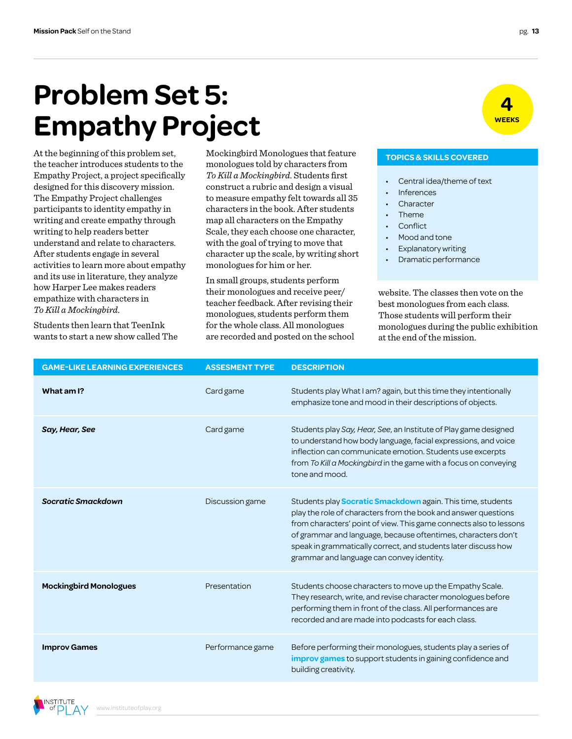### **Problem Set 5: Empathy Project**

At the beginning of this problem set, the teacher introduces students to the Empathy Project, a project specifically designed for this discovery mission. The Empathy Project challenges participants to identity empathy in writing and create empathy through writing to help readers better understand and relate to characters. After students engage in several activities to learn more about empathy and its use in literature, they analyze how Harper Lee makes readers empathize with characters in *To Kill a Mockingbird*.

Students then learn that TeenInk wants to start a new show called The Mockingbird Monologues that feature monologues told by characters from *To Kill a Mockingbird*. Students first construct a rubric and design a visual to measure empathy felt towards all 35 characters in the book. After students map all characters on the Empathy Scale, they each choose one character, with the goal of trying to move that character up the scale, by writing short monologues for him or her.

In small groups, students perform their monologues and receive peer/ teacher feedback. After revising their monologues, students perform them for the whole class. All monologues are recorded and posted on the school

#### **TOPICS & SKILLS COVERED**

- Central idea/theme of text
- **Inferences**
- **Character**
- Theme
- **Conflict**
- Mood and tone
- **Explanatory writing**
- Dramatic performance

website. The classes then vote on the best monologues from each class. Those students will perform their monologues during the public exhibition at the end of the mission.

| <b>GAME-LIKE LEARNING EXPERIENCES</b> | <b>ASSESMENT TYPE</b> | <b>DESCRIPTION</b>                                                                                                                                                                                                                                                                                                                                                                         |
|---------------------------------------|-----------------------|--------------------------------------------------------------------------------------------------------------------------------------------------------------------------------------------------------------------------------------------------------------------------------------------------------------------------------------------------------------------------------------------|
| What am I?                            | Card game             | Students play What I am? again, but this time they intentionally<br>emphasize tone and mood in their descriptions of objects.                                                                                                                                                                                                                                                              |
| Say, Hear, See                        | Card game             | Students play Say, Hear, See, an Institute of Play game designed<br>to understand how body language, facial expressions, and voice<br>inflection can communicate emotion. Students use excerpts<br>from To Kill a Mockingbird in the game with a focus on conveying<br>tone and mood.                                                                                                      |
| <b>Socratic Smackdown</b>             | Discussion game       | Students play <b>Socratic Smackdown</b> again. This time, students<br>play the role of characters from the book and answer questions<br>from characters' point of view. This game connects also to lessons<br>of grammar and language, because oftentimes, characters don't<br>speak in grammatically correct, and students later discuss how<br>grammar and language can convey identity. |
| <b>Mockingbird Monologues</b>         | Presentation          | Students choose characters to move up the Empathy Scale.<br>They research, write, and revise character monologues before<br>performing them in front of the class. All performances are<br>recorded and are made into podcasts for each class.                                                                                                                                             |
| <b>Improv Games</b>                   | Performance game      | Before performing their monologues, students play a series of<br><b>improv games</b> to support students in gaining confidence and<br>building creativity.                                                                                                                                                                                                                                 |



**INSTITUTE**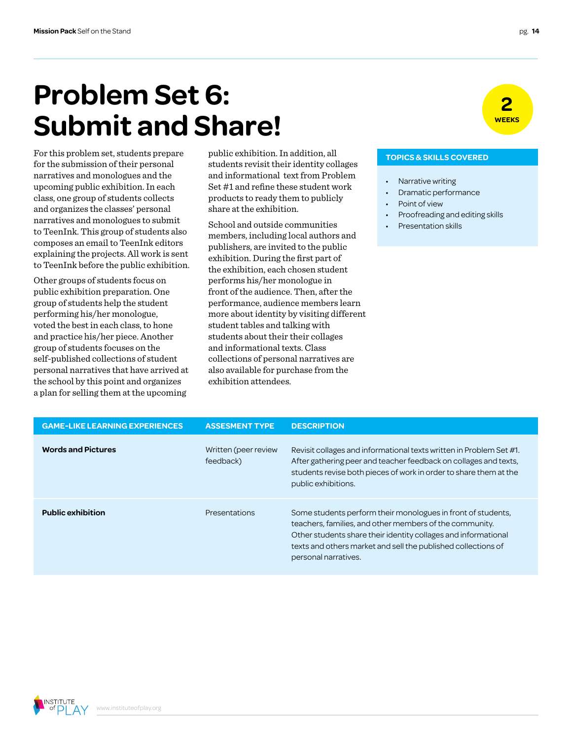### **Problem Set 6: Submit and Share!**

For this problem set, students prepare for the submission of their personal narratives and monologues and the upcoming public exhibition. In each class, one group of students collects and organizes the classes' personal narratives and monologues to submit to TeenInk. This group of students also composes an email to TeenInk editors explaining the projects. All work is sent to TeenInk before the public exhibition.

Other groups of students focus on public exhibition preparation. One group of students help the student performing his/her monologue, voted the best in each class, to hone and practice his/her piece. Another group of students focuses on the self-published collections of student personal narratives that have arrived at the school by this point and organizes a plan for selling them at the upcoming

public exhibition. In addition, all students revisit their identity collages and informational text from Problem Set #1 and refine these student work products to ready them to publicly share at the exhibition.

School and outside communities members, including local authors and publishers, are invited to the public exhibition. During the first part of the exhibition, each chosen student performs his/her monologue in front of the audience. Then, after the performance, audience members learn more about identity by visiting different student tables and talking with students about their their collages and informational texts. Class collections of personal narratives are also available for purchase from the exhibition attendees.

#### **TOPICS & SKILLS COVERED**

- Narrative writing
- Dramatic performance
- Point of view
- Proofreading and editing skills
- Presentation skills

| <b>GAME-LIKE LEARNING EXPERIENCES</b> | <b>ASSESMENT TYPE</b>             | <b>DESCRIPTION</b>                                                                                                                                                                                                                                                                 |
|---------------------------------------|-----------------------------------|------------------------------------------------------------------------------------------------------------------------------------------------------------------------------------------------------------------------------------------------------------------------------------|
| <b>Words and Pictures</b>             | Written (peer review<br>feedback) | Revisit collages and informational texts written in Problem Set #1.<br>After gathering peer and teacher feedback on collages and texts,<br>students revise both pieces of work in order to share them at the<br>public exhibitions.                                                |
| <b>Public exhibition</b>              | Presentations                     | Some students perform their monologues in front of students,<br>teachers, families, and other members of the community.<br>Other students share their identity collages and informational<br>texts and others market and sell the published collections of<br>personal narratives. |



**2**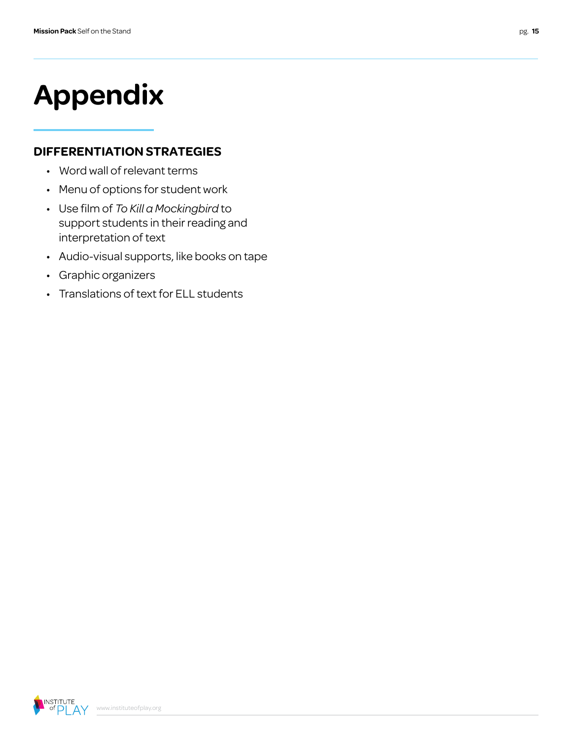# **Appendix**

#### **DIFFERENTIATION STRATEGIES**

- Word wall of relevant terms
- Menu of options for student work
- Use film of *To Kill a Mockingbird* to support students in their reading and interpretation of text
- Audio-visual supports, like books on tape
- Graphic organizers
- Translations of text for ELL students

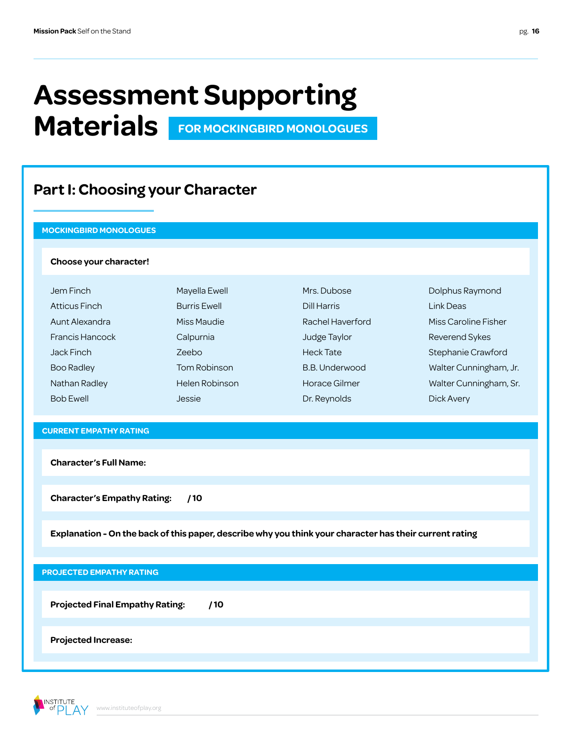### **Assessment Supporting Materials FOR MOCKINGBIRD MONOLOGUES**

### **Part I: Choosing your Character**

#### **MOCKINGBIRD MONOLOGUES**

#### **Choose your character!**

| Jem Finch              | Mayella Ewell       | Mrs. Dubose      | Dolphus Raymond        |
|------------------------|---------------------|------------------|------------------------|
| <b>Atticus Finch</b>   | <b>Burris Ewell</b> | Dill Harris      | Link Deas              |
| Aunt Alexandra         | Miss Maudie         | Rachel Haverford | Miss Caroline Fisher   |
| <b>Francis Hancock</b> | Calpurnia           | Judge Taylor     | Reverend Sykes         |
| Jack Finch             | Zeebo               | <b>Heck Tate</b> | Stephanie Crawford     |
| Boo Radley             | Tom Robinson        | B.B. Underwood   | Walter Cunningham, Jr. |
| Nathan Radley          | Helen Robinson      | Horace Gilmer    | Walter Cunningham, Sr. |
| <b>Bob Ewell</b>       | Jessie              | Dr. Reynolds     | Dick Avery             |

#### **CURRENT EMPATHY RATING**

**Character's Full Name:**

**Character's Empathy Rating: / 10**

**Explanation - On the back of this paper, describe why you think your character has their current rating**

#### **PROJECTED EMPATHY RATING**

**Projected Final Empathy Rating: / 10**

**Projected Increase:**

**INSTITUTE** of  $D$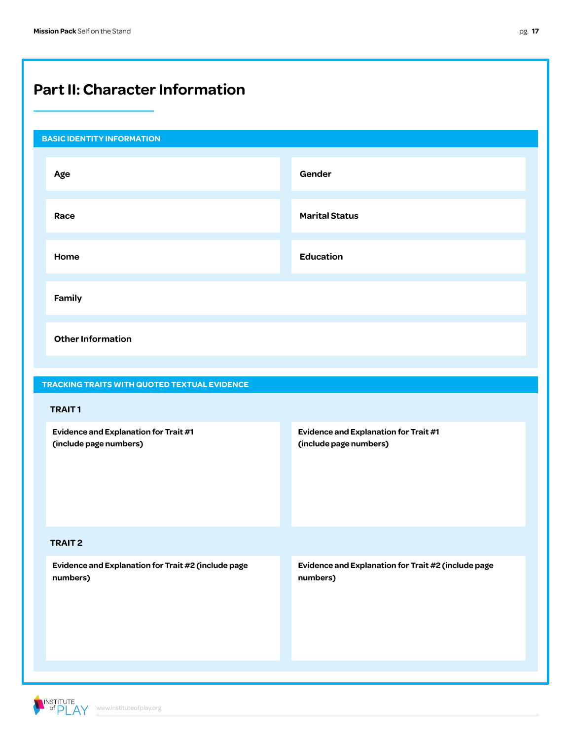### **Part II: Character Information**

| <b>BASIC IDENTITY INFORMATION</b>                               |                                                                 |
|-----------------------------------------------------------------|-----------------------------------------------------------------|
| Age                                                             | Gender                                                          |
| Race                                                            | <b>Marital Status</b>                                           |
| Home                                                            | <b>Education</b>                                                |
| Family                                                          |                                                                 |
| <b>Other Information</b>                                        |                                                                 |
| TRACKING TRAITS WITH QUOTED TEXTUAL EVIDENCE                    |                                                                 |
| <b>TRAIT1</b>                                                   |                                                                 |
| Evidence and Explanation for Trait #1<br>(include page numbers) | Evidence and Explanation for Trait #1<br>(include page numbers) |
| <b>TRAIT 2</b>                                                  |                                                                 |
| Evidence and Explanation for Trait #2 (include page<br>numbers) | Evidence and Explanation for Trait #2 (include page<br>numbers) |

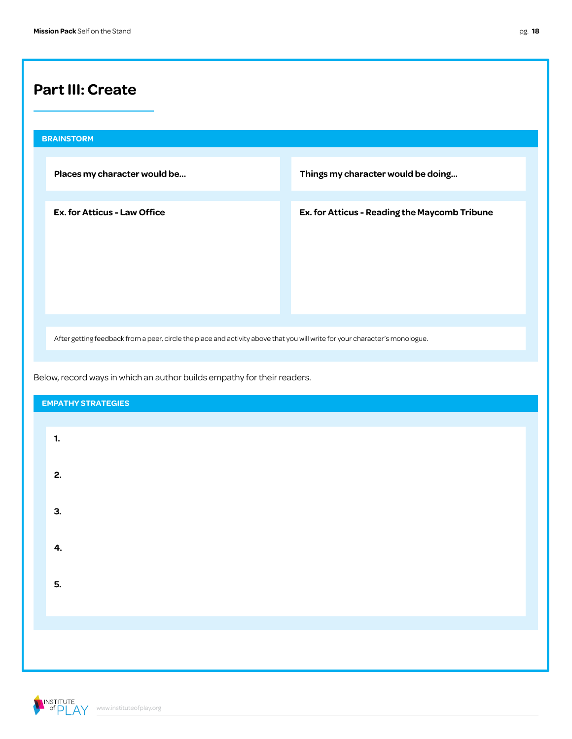### **Part III: Create**

# **BRAINSTORM Places my character would be... Things my character would be doing... Ex. for Atticus - Law Office Ex. for Atticus - Reading the Maycomb Tribune**

After getting feedback from a peer, circle the place and activity above that you will write for your character's monologue.

Below, record ways in which an author builds empathy for their readers.

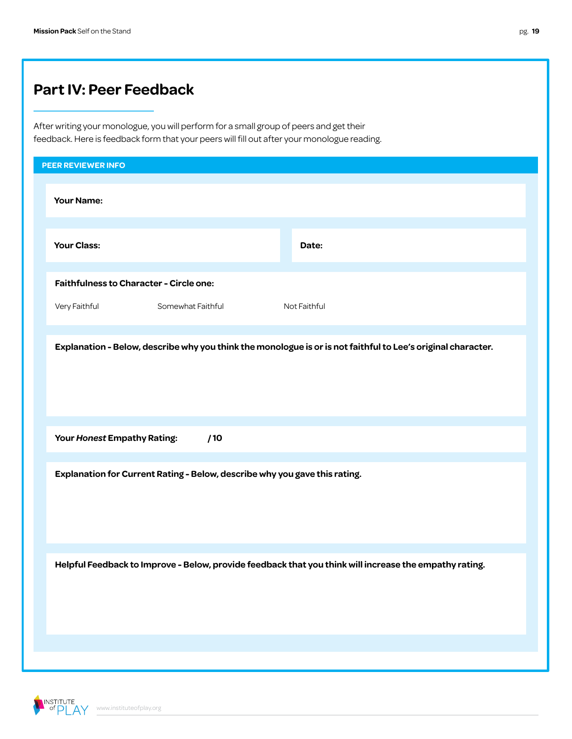### **Part IV: Peer Feedback**

After writing your monologue, you will perform for a small group of peers and get their feedback. Here is feedback form that your peers will fill out after your monologue reading.

| PEER REVIEWER INFO                                                                                           |              |
|--------------------------------------------------------------------------------------------------------------|--------------|
| <b>Your Name:</b>                                                                                            |              |
| <b>Your Class:</b>                                                                                           | Date:        |
| <b>Faithfulness to Character - Circle one:</b>                                                               |              |
| Very Faithful<br>Somewhat Faithful                                                                           | Not Faithful |
| Explanation - Below, describe why you think the monologue is or is not faithful to Lee's original character. |              |
| Your Honest Empathy Rating:<br>/10                                                                           |              |
| Explanation for Current Rating - Below, describe why you gave this rating.                                   |              |
| Helpful Feedback to Improve - Below, provide feedback that you think will increase the empathy rating.       |              |
|                                                                                                              |              |

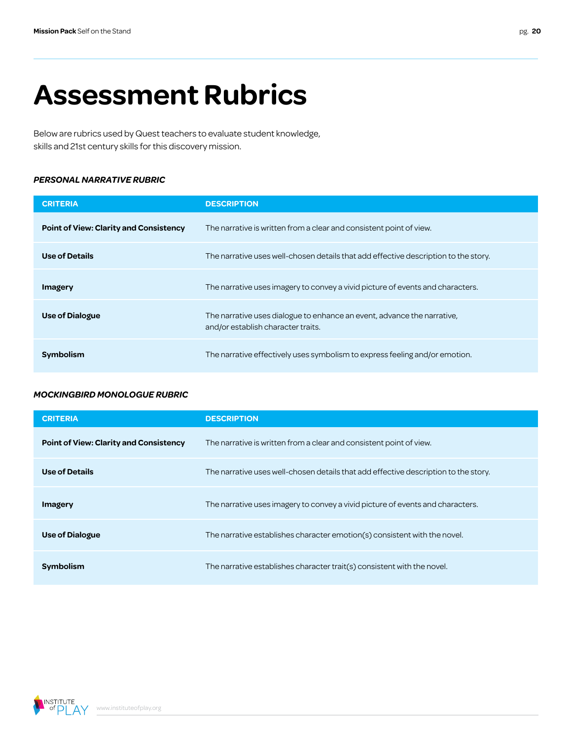# **Assessment Rubrics**

Below are rubrics used by Quest teachers to evaluate student knowledge, skills and 21st century skills for this discovery mission.

#### *PERSONAL NARRATIVE RUBRIC*

| <b>CRITERIA</b>                               | <b>DESCRIPTION</b>                                                                                            |
|-----------------------------------------------|---------------------------------------------------------------------------------------------------------------|
| <b>Point of View: Clarity and Consistency</b> | The narrative is written from a clear and consistent point of view.                                           |
| Use of Details                                | The narrative uses well-chosen details that add effective description to the story.                           |
| Imagery                                       | The narrative uses imagery to convey a vivid picture of events and characters.                                |
| <b>Use of Dialogue</b>                        | The narrative uses dialogue to enhance an event, advance the narrative,<br>and/or establish character traits. |
| <b>Symbolism</b>                              | The narrative effectively uses symbolism to express feeling and/or emotion.                                   |

#### *MOCKINGBIRD MONOLOGUE RUBRIC*

| <b>CRITERIA</b>                               | <b>DESCRIPTION</b>                                                                  |
|-----------------------------------------------|-------------------------------------------------------------------------------------|
| <b>Point of View: Clarity and Consistency</b> | The narrative is written from a clear and consistent point of view.                 |
| Use of Details                                | The narrative uses well-chosen details that add effective description to the story. |
| Imagery                                       | The narrative uses imagery to convey a vivid picture of events and characters.      |
| <b>Use of Dialogue</b>                        | The narrative establishes character emotion(s) consistent with the novel.           |
| Symbolism                                     | The narrative establishes character trait(s) consistent with the novel.             |

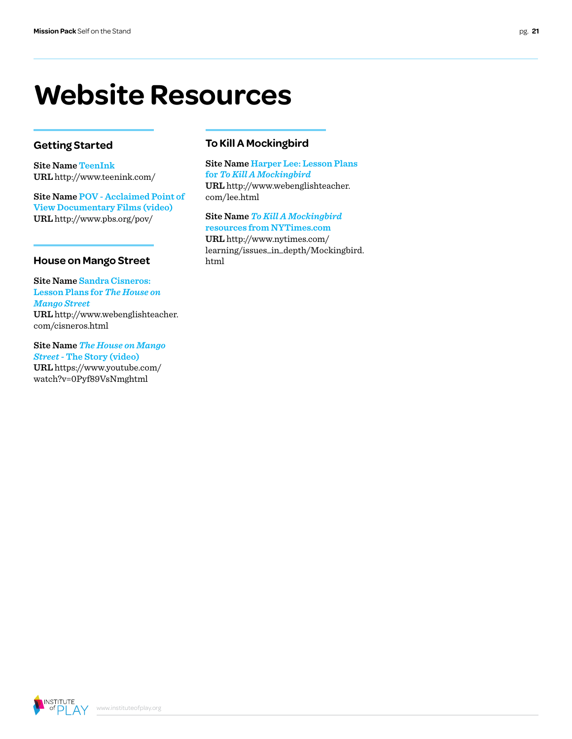### **Website Resources**

#### **Getting Started**

**Site Name [TeenInk](http://www.teenink.com/) URL** http://www.teenink.com/

**Site Name [POV - Acclaimed Point of](http://www.pbs.org/pov/)  [View Documentary Films \(video\)](http://www.pbs.org/pov/) URL** http://www.pbs.org/pov/

#### **House on Mango Street**

**Site Name [Sandra Cisneros:](http://www.webenglishteacher.com/cisneros.html)  [Lesson Plans for](http://www.webenglishteacher.com/cisneros.html)** *The House on [Mango Street](http://www.webenglishteacher.com/cisneros.html)* **URL** http://www.webenglishteacher. com/cisneros.html

**Site Name** *[The House on Mango](https://www.youtube.com/watch?v=0Pyf89VsNmghtml)  Street* **[- The Story \(video\)](https://www.youtube.com/watch?v=0Pyf89VsNmghtml) URL** https://www.youtube.com/ watch?v=0Pyf89VsNm[ghtml](http://www.hsph.harvard.edu/nutritionsource/nutrition-education-materials/structures.html)

#### **To Kill A Mockingbird**

**Site Name [Harper Lee: Lesson Plans](http://www.webenglishteacher.com/lee.html)  for** *[To Kill A Mockingbird](http://www.webenglishteacher.com/lee.html)* **URL** http://www.webenglishteacher. com/lee.html

**Site Name** *[To Kill A Mockingbird](http://www.nytimes.com/learning/issues_in_depth/Mockingbird.html)* **[resources from NYTimes.com](http://www.nytimes.com/learning/issues_in_depth/Mockingbird.html) URL** http://www.nytimes.com/ learning/issues\_in\_depth/Mockingbird. html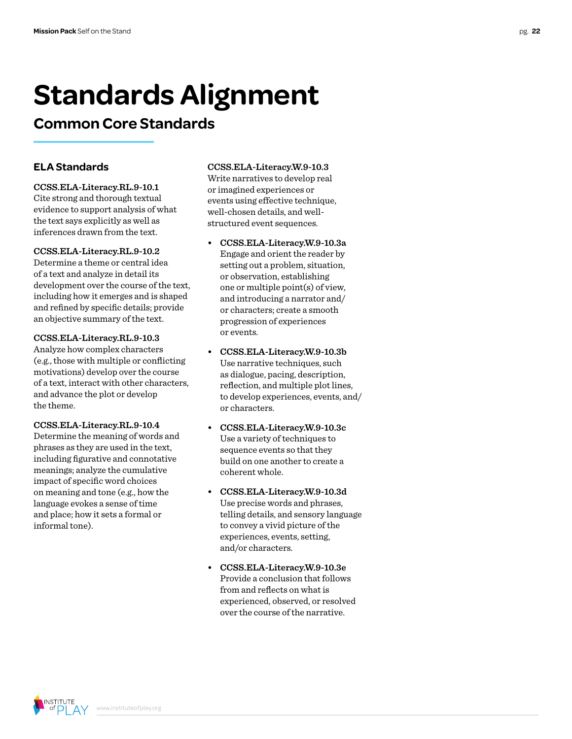# **Standards Alignment**

### **Common Core Standards**

#### **ELA Standards**

#### **CCSS.ELA-Literacy.RL.9-10.1**

Cite strong and thorough textual evidence to support analysis of what the text says explicitly as well as inferences drawn from the text.

#### **CCSS.ELA-Literacy.RL.9-10.2**

Determine a theme or central idea of a text and analyze in detail its development over the course of the text, including how it emerges and is shaped and refined by specific details; provide an objective summary of the text.

#### **CCSS.ELA-Literacy.RL.9-10.3**

Analyze how complex characters (e.g., those with multiple or conflicting motivations) develop over the course of a text, interact with other characters, and advance the plot or develop the theme.

#### **CCSS.ELA-Literacy.RL.9-10.4**

Determine the meaning of words and phrases as they are used in the text, including figurative and connotative meanings; analyze the cumulative impact of specific word choices on meaning and tone (e.g., how the language evokes a sense of time and place; how it sets a formal or informal tone).

www.instituteofplay.org

#### **CCSS.ELA-Literacy.W.9-10.3**

Write narratives to develop real or imagined experiences or events using effective technique, well-chosen details, and wellstructured event sequences.

- **• CCSS.ELA-Literacy.W.9-10.3a**  Engage and orient the reader by setting out a problem, situation, or observation, establishing one or multiple point(s) of view, and introducing a narrator and/ or characters; create a smooth progression of experiences or events.
- **• CCSS.ELA-Literacy.W.9-10.3b** Use narrative techniques, such as dialogue, pacing, description, reflection, and multiple plot lines, to develop experiences, events, and/ or characters.
- **• CCSS.ELA-Literacy.W.9-10.3c** Use a variety of techniques to sequence events so that they build on one another to create a coherent whole.
- **• CCSS.ELA-Literacy.W.9-10.3d**  Use precise words and phrases, telling details, and sensory language to convey a vivid picture of the experiences, events, setting, and/or characters.
- **• CCSS.ELA-Literacy.W.9-10.3e**  Provide a conclusion that follows from and reflects on what is experienced, observed, or resolved over the course of the narrative.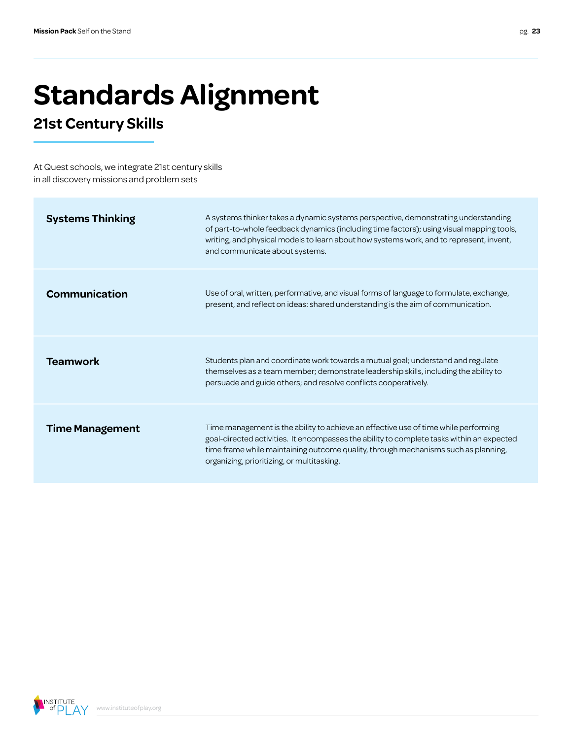# **Standards Alignment**

### **21st Century Skills**

At Quest schools, we integrate 21st century skills in all discovery missions and problem sets

| <b>Systems Thinking</b> | A systems thinker takes a dynamic systems perspective, demonstrating understanding<br>of part-to-whole feedback dynamics (including time factors); using visual mapping tools,<br>writing, and physical models to learn about how systems work, and to represent, invent,<br>and communicate about systems.          |
|-------------------------|----------------------------------------------------------------------------------------------------------------------------------------------------------------------------------------------------------------------------------------------------------------------------------------------------------------------|
| <b>Communication</b>    | Use of oral, written, performative, and visual forms of language to formulate, exchange,<br>present, and reflect on ideas: shared understanding is the aim of communication.                                                                                                                                         |
| <b>Teamwork</b>         | Students plan and coordinate work towards a mutual goal; understand and regulate<br>themselves as a team member; demonstrate leadership skills, including the ability to<br>persuade and guide others; and resolve conflicts cooperatively.                                                                          |
| <b>Time Management</b>  | Time management is the ability to achieve an effective use of time while performing<br>goal-directed activities. It encompasses the ability to complete tasks within an expected<br>time frame while maintaining outcome quality, through mechanisms such as planning,<br>organizing, prioritizing, or multitasking. |

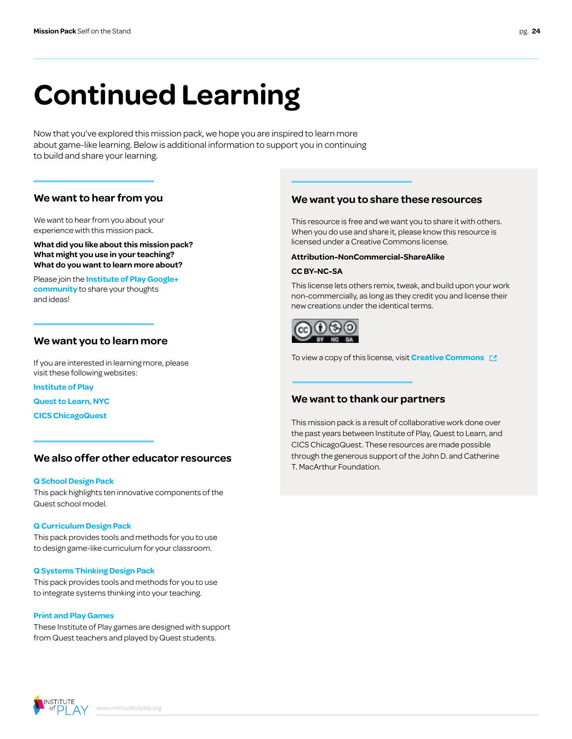# **Continued Learning**

Now that you've explored this mission pack, we hope you are inspired to learn more about game-like learning. Below is additional information to support you in continuing to build and share your learning.

#### **We want to hear from you**

We want to hear from you about your experience with this mission pack.

**What did you like about this mission pack? What might you use in your teaching? What do you want to learn more about?**

Please join the **[Institute of Play Google+](https://plus.google.com/109931113406134913780)  [community](https://plus.google.com/109931113406134913780)** to share your thoughts and ideas!

#### **We want you to learn more**

If you are interested in learning more, please visit these following websites:

**[Institute of Play](http://www.instituteofplay.org)**

**[Quest to Learn, NYC](http://www.q2l.org)**

**[CICS ChicagoQuest](http://www.chicagoquest.org)**

#### **We also offer other educator resources**

#### **[Q School Design Pack](http://www.instituteofplay.org/work/projects/q-design-packs/q-school-design-pack/)**

[This pack highlights ten innovative components of the](http://www.instituteofplay.org/work/projects/q-design-packs/q-school-design-pack/)  [Quest school model.](http://www.instituteofplay.org/work/projects/q-design-packs/q-school-design-pack/)

#### **[Q Curriculum Design Pack](http://www.instituteofplay.org/work/projects/q-design-packs/q-curriculum-design-pack/)**

[This pack provides tools and methods for you to use](http://www.instituteofplay.org/work/projects/q-design-packs/q-curriculum-design-pack/)  [to design game-like curriculum for your classroom.](http://www.instituteofplay.org/work/projects/q-design-packs/q-curriculum-design-pack/)

#### **[Q Systems Thinking Design Pack](http://www.instituteofplay.org/work/projects/q-design-packs/q-systems-thinking-design-pack/)**

[This pack provides tools and methods for you to use](http://www.instituteofplay.org/work/projects/q-design-packs/q-systems-thinking-design-pack/)  [to integrate systems thinking into your teaching.](http://www.instituteofplay.org/work/projects/q-design-packs/q-systems-thinking-design-pack/)

#### **[Print and Play Games](http://www.instituteofplay.org/work/projects/print-and-play-games)**

[These Institute of Play games are designed with support](http://www.instituteofplay.org/work/projects/print-and-play-games)  [from Quest teachers and played by Quest students.](http://www.instituteofplay.org/work/projects/print-and-play-games)

#### **We want you to share these resources**

This resource is free and we want you to share it with others. When you do use and share it, please know this resource is licensed under a Creative Commons license.

#### **Attribution-NonCommercial-ShareAlike**

#### **CC BY-NC-SA**

This license lets others remix, tweak, and build upon your work non-commercially, as long as they credit you and license their new creations under the identical terms.



To view a copy of this license, visit **[Creative Commons](http://creativecommons.org/licenses/by-nc-sa/3.0/us/)** 

#### **We want to thank our partners**

This mission pack is a result of collaborative work done over the past years between Institute of Play, Quest to Learn, and CICS ChicagoQuest. These resources are made possible through the generous support of the John D. and Catherine T. MacArthur Foundation.